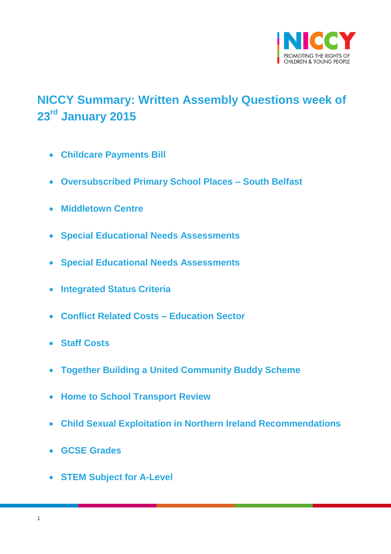

# <span id="page-0-0"></span>**NICCY Summary: Written Assembly Questions week of 23rd January 2015**

- **[Childcare Payments Bill](#page-2-0)**
- **[Oversubscribed Primary School Places –](#page-3-0) South Belfast**
- **[Middletown Centre](#page-4-0)**
- **[Special Educational Needs Assessments](#page-4-1)**
- **[Special Educational Needs Assessments](#page-5-0)**
- **[Integrated Status Criteria](#page-5-1)**
- **[Conflict Related Costs –](#page-6-0) Education Sector**
- **[Staff Costs](#page-7-0)**
- **[Together Building a United Community Buddy Scheme](#page-8-0)**
- **[Home to School Transport Review](#page-8-1)**
- **[Child Sexual Exploitation in Northern Ireland Recommendations](#page-8-2)**
- **[GCSE Grades](#page-9-0)**
- **[STEM Subject for A-Level](#page-11-0)**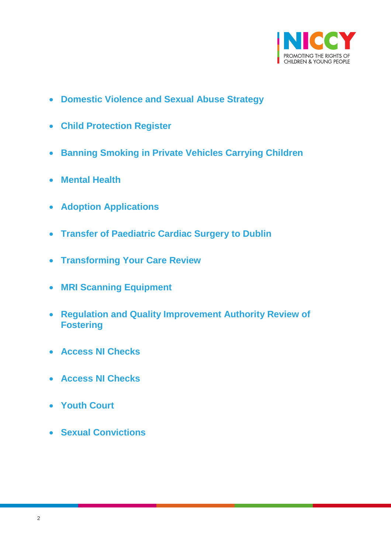

- **[Domestic Violence and Sexual Abuse Strategy](#page-12-0)**
- **[Child Protection Register](#page-13-0)**
- **[Banning Smoking in Private Vehicles Carrying Children](#page-14-0)**
- **[Mental Health](#page-14-1)**
- **[Adoption Applications](#page-15-0)**
- **[Transfer of Paediatric Cardiac Surgery to Dublin](#page-16-0)**
- **[Transforming Your Care Review](#page-17-0)**
- **[MRI Scanning Equipment](#page-18-0)**
- **[Regulation and Quality Improvement Authority Review of](#page-18-1)  [Fostering](#page-18-1)**
- **[Access NI Checks](#page-20-0)**
- **[Access NI Checks](#page-20-1)**
- **[Youth Court](#page-21-0)**
- **[Sexual Convictions](#page-21-1)**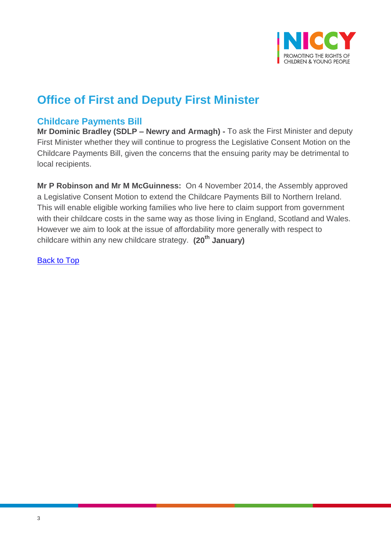

# **Office of First and Deputy First Minister**

## <span id="page-2-0"></span>**Childcare Payments Bill**

**Mr Dominic Bradley (SDLP – Newry and Armagh) -** To ask the First Minister and deputy First Minister whether they will continue to progress the Legislative Consent Motion on the Childcare Payments Bill, given the concerns that the ensuing parity may be detrimental to local recipients.

**Mr P Robinson and Mr M McGuinness:** On 4 November 2014, the Assembly approved a Legislative Consent Motion to extend the Childcare Payments Bill to Northern Ireland. This will enable eligible working families who live here to claim support from government with their childcare costs in the same way as those living in England, Scotland and Wales. However we aim to look at the issue of affordability more generally with respect to childcare within any new childcare strategy. **(20th January)**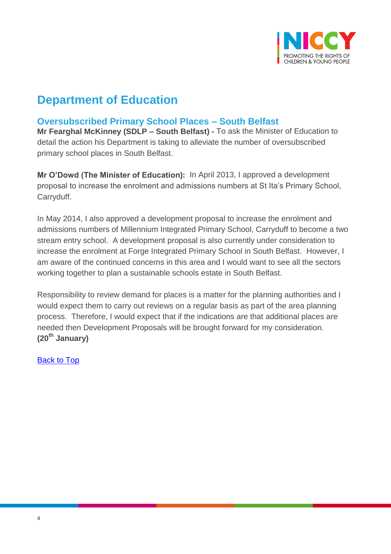

# **Department of Education**

# <span id="page-3-0"></span>**Oversubscribed Primary School Places – South Belfast**

**Mr Fearghal McKinney (SDLP – South Belfast) -** To ask the Minister of Education to detail the action his Department is taking to alleviate the number of oversubscribed primary school places in South Belfast.

**Mr O'Dowd (The Minister of Education):** In April 2013, I approved a development proposal to increase the enrolment and admissions numbers at St Ita's Primary School, Carryduff.

In May 2014, I also approved a development proposal to increase the enrolment and admissions numbers of Millennium Integrated Primary School, Carryduff to become a two stream entry school. A development proposal is also currently under consideration to increase the enrolment at Forge Integrated Primary School in South Belfast. However, I am aware of the continued concerns in this area and I would want to see all the sectors working together to plan a sustainable schools estate in South Belfast.

Responsibility to review demand for places is a matter for the planning authorities and I would expect them to carry out reviews on a regular basis as part of the area planning process. Therefore, I would expect that if the indications are that additional places are needed then Development Proposals will be brought forward for my consideration. **(20th January)**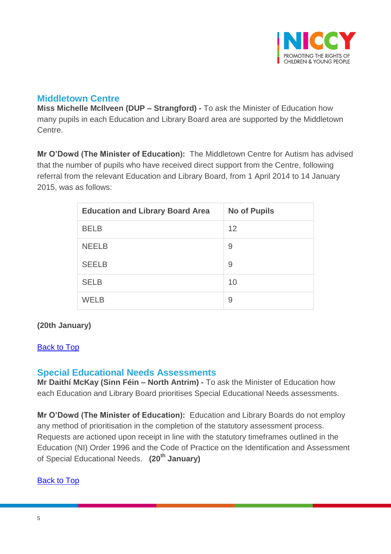

## <span id="page-4-0"></span>**Middletown Centre**

**Miss Michelle McIlveen (DUP – Strangford) -** To ask the Minister of Education how many pupils in each Education and Library Board area are supported by the Middletown **Centre** 

**Mr O'Dowd (The Minister of Education):** The Middletown Centre for Autism has advised that the number of pupils who have received direct support from the Centre, following referral from the relevant Education and Library Board, from 1 April 2014 to 14 January 2015, was as follows:

| <b>Education and Library Board Area</b> | <b>No of Pupils</b> |
|-----------------------------------------|---------------------|
| <b>BELB</b>                             | 12                  |
| <b>NEELB</b>                            | 9                   |
| <b>SEELB</b>                            | 9                   |
| <b>SELB</b>                             | 10                  |
| <b>WELB</b>                             | 9                   |

### **(20th January)**

#### [Back to Top](#page-0-0)

## <span id="page-4-1"></span>**Special Educational Needs Assessments**

**Mr Daithí McKay (Sinn Féin – North Antrim) -** To ask the Minister of Education how each Education and Library Board prioritises Special Educational Needs assessments.

**Mr O'Dowd (The Minister of Education):** Education and Library Boards do not employ any method of prioritisation in the completion of the statutory assessment process. Requests are actioned upon receipt in line with the statutory timeframes outlined in the Education (NI) Order 1996 and the Code of Practice on the Identification and Assessment of Special Educational Needs. **(20th January)**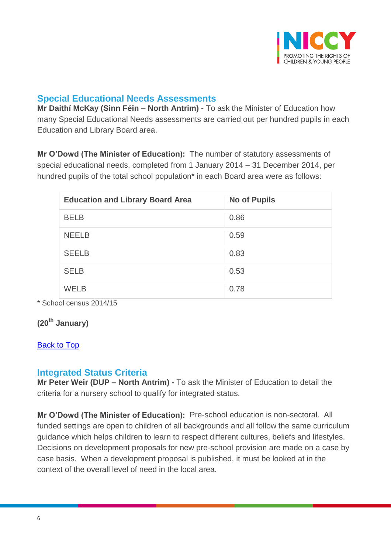

## <span id="page-5-0"></span>**Special Educational Needs Assessments**

**Mr Daithí McKay (Sinn Féin – North Antrim) -** To ask the Minister of Education how many Special Educational Needs assessments are carried out per hundred pupils in each Education and Library Board area.

**Mr O'Dowd (The Minister of Education):** The number of statutory assessments of special educational needs, completed from 1 January 2014 – 31 December 2014, per hundred pupils of the total school population<sup>\*</sup> in each Board area were as follows:

| <b>Education and Library Board Area</b> | <b>No of Pupils</b> |
|-----------------------------------------|---------------------|
| <b>BELB</b>                             | 0.86                |
| <b>NEELB</b>                            | 0.59                |
| <b>SEELB</b>                            | 0.83                |
| <b>SELB</b>                             | 0.53                |
| WELB                                    | 0.78                |

\* School census 2014/15

**(20th January)**

### [Back to Top](#page-0-0)

### <span id="page-5-1"></span>**Integrated Status Criteria**

**Mr Peter Weir (DUP – North Antrim) -** To ask the Minister of Education to detail the criteria for a nursery school to qualify for integrated status.

**Mr O'Dowd (The Minister of Education):** Pre-school education is non-sectoral. All funded settings are open to children of all backgrounds and all follow the same curriculum guidance which helps children to learn to respect different cultures, beliefs and lifestyles. Decisions on development proposals for new pre-school provision are made on a case by case basis. When a development proposal is published, it must be looked at in the context of the overall level of need in the local area.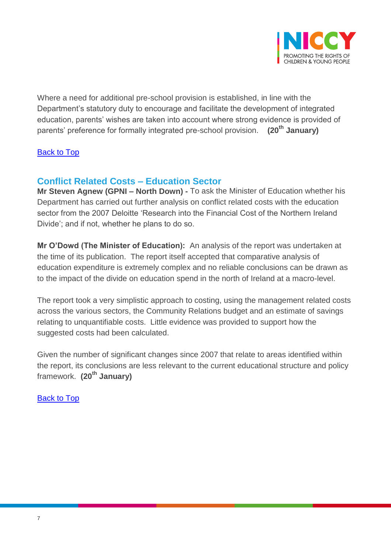

Where a need for additional pre-school provision is established, in line with the Department's statutory duty to encourage and facilitate the development of integrated education, parents' wishes are taken into account where strong evidence is provided of parents' preference for formally integrated pre-school provision. **(20th January)**

### **[Back to Top](#page-0-0)**

# <span id="page-6-0"></span>**Conflict Related Costs – Education Sector**

**Mr Steven Agnew (GPNI – North Down) -** To ask the Minister of Education whether his Department has carried out further analysis on conflict related costs with the education sector from the 2007 Deloitte 'Research into the Financial Cost of the Northern Ireland Divide'; and if not, whether he plans to do so.

**Mr O'Dowd (The Minister of Education):** An analysis of the report was undertaken at the time of its publication. The report itself accepted that comparative analysis of education expenditure is extremely complex and no reliable conclusions can be drawn as to the impact of the divide on education spend in the north of Ireland at a macro-level.

The report took a very simplistic approach to costing, using the management related costs across the various sectors, the Community Relations budget and an estimate of savings relating to unquantifiable costs. Little evidence was provided to support how the suggested costs had been calculated.

Given the number of significant changes since 2007 that relate to areas identified within the report, its conclusions are less relevant to the current educational structure and policy framework. **(20th January)**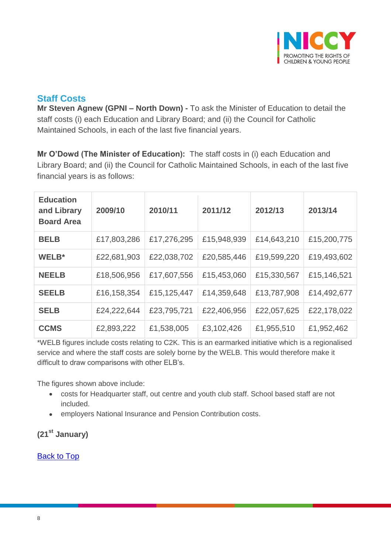

## <span id="page-7-0"></span>**Staff Costs**

**Mr Steven Agnew (GPNI – North Down) -** To ask the Minister of Education to detail the staff costs (i) each Education and Library Board; and (ii) the Council for Catholic Maintained Schools, in each of the last five financial years.

**Mr O'Dowd (The Minister of Education):** The staff costs in (i) each Education and Library Board; and (ii) the Council for Catholic Maintained Schools, in each of the last five financial years is as follows:

| <b>Education</b><br>and Library<br><b>Board Area</b> | 2009/10     | 2010/11     | 2011/12     | 2012/13     | 2013/14     |
|------------------------------------------------------|-------------|-------------|-------------|-------------|-------------|
| <b>BELB</b>                                          | £17,803,286 | £17,276,295 | £15,948,939 | £14,643,210 | £15,200,775 |
| WELB*                                                | £22,681,903 | £22,038,702 | £20,585,446 | £19,599,220 | £19,493,602 |
| <b>NEELB</b>                                         | £18,506,956 | £17,607,556 | £15,453,060 | £15,330,567 | £15,146,521 |
| <b>SEELB</b>                                         | £16,158,354 | £15,125,447 | £14,359,648 | £13,787,908 | £14,492,677 |
| <b>SELB</b>                                          | £24,222,644 | £23,795,721 | £22,406,956 | £22,057,625 | £22,178,022 |
| <b>CCMS</b>                                          | £2,893,222  | £1,538,005  | £3,102,426  | £1,955,510  | £1,952,462  |

\*WELB figures include costs relating to C2K. This is an earmarked initiative which is a regionalised service and where the staff costs are solely borne by the WELB. This would therefore make it difficult to draw comparisons with other ELB's.

The figures shown above include:

- costs for Headquarter staff, out centre and youth club staff. School based staff are not included.
- employers National Insurance and Pension Contribution costs.

# **(21st January)**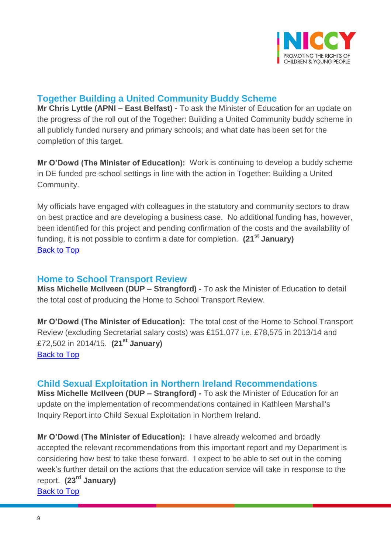

# <span id="page-8-0"></span>**Together Building a United Community Buddy Scheme**

**Mr Chris Lyttle (APNI – East Belfast) -** To ask the Minister of Education for an update on the progress of the roll out of the Together: Building a United Community buddy scheme in all publicly funded nursery and primary schools; and what date has been set for the completion of this target.

**Mr O'Dowd (The Minister of Education):** Work is continuing to develop a buddy scheme in DE funded pre-school settings in line with the action in Together: Building a United Community.

My officials have engaged with colleagues in the statutory and community sectors to draw on best practice and are developing a business case. No additional funding has, however, been identified for this project and pending confirmation of the costs and the availability of funding, it is not possible to confirm a date for completion. **(21st January)** [Back to Top](#page-0-0)

## <span id="page-8-1"></span>**Home to School Transport Review**

**Miss Michelle McIlveen (DUP – Strangford) -** To ask the Minister of Education to detail the total cost of producing the Home to School Transport Review.

**Mr O'Dowd (The Minister of Education):** The total cost of the Home to School Transport Review (excluding Secretariat salary costs) was £151,077 i.e. £78,575 in 2013/14 and £72,502 in 2014/15. **(21st January)** [Back to Top](#page-0-0)

## <span id="page-8-2"></span>**Child Sexual Exploitation in Northern Ireland Recommendations**

**Miss Michelle McIlveen (DUP – Strangford) -** To ask the Minister of Education for an update on the implementation of recommendations contained in Kathleen Marshall's Inquiry Report into Child Sexual Exploitation in Northern Ireland.

**Mr O'Dowd (The Minister of Education):** I have already welcomed and broadly accepted the relevant recommendations from this important report and my Department is considering how best to take these forward. I expect to be able to set out in the coming week's further detail on the actions that the education service will take in response to the report. **(23rd January)**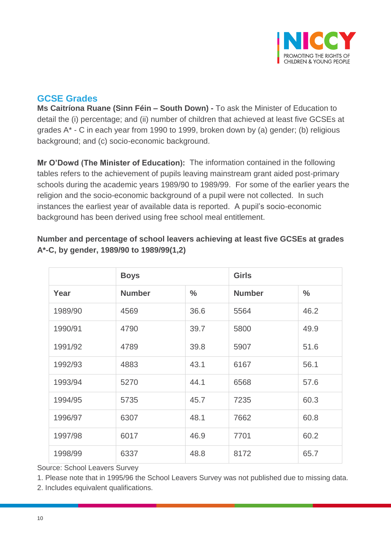

# <span id="page-9-0"></span>**GCSE Grades**

**Ms Caitríona Ruane (Sinn Féin – South Down) -** To ask the Minister of Education to detail the (i) percentage; and (ii) number of children that achieved at least five GCSEs at grades A\* - C in each year from 1990 to 1999, broken down by (a) gender; (b) religious background; and (c) socio-economic background.

**Mr O'Dowd (The Minister of Education):** The information contained in the following tables refers to the achievement of pupils leaving mainstream grant aided post-primary schools during the academic years 1989/90 to 1989/99. For some of the earlier years the religion and the socio-economic background of a pupil were not collected. In such instances the earliest year of available data is reported. A pupil's socio-economic background has been derived using free school meal entitlement.

|         | <b>Boys</b>   |               |               |               |
|---------|---------------|---------------|---------------|---------------|
| Year    | <b>Number</b> | $\frac{0}{0}$ | <b>Number</b> | $\frac{0}{0}$ |
| 1989/90 | 4569          | 36.6          | 5564          | 46.2          |
| 1990/91 | 4790          | 39.7          | 5800          | 49.9          |
| 1991/92 | 4789          | 39.8          | 5907          | 51.6          |
| 1992/93 | 4883          | 43.1          | 6167          | 56.1          |
| 1993/94 | 5270          | 44.1          | 6568          | 57.6          |
| 1994/95 | 5735          | 45.7          | 7235          | 60.3          |
| 1996/97 | 6307          | 48.1          | 7662          | 60.8          |
| 1997/98 | 6017          | 46.9          | 7701          | 60.2          |
| 1998/99 | 6337          | 48.8          | 8172          | 65.7          |

## **Number and percentage of school leavers achieving at least five GCSEs at grades A\*-C, by gender, 1989/90 to 1989/99(1,2)**

Source: School Leavers Survey

1. Please note that in 1995/96 the School Leavers Survey was not published due to missing data.

2. Includes equivalent qualifications.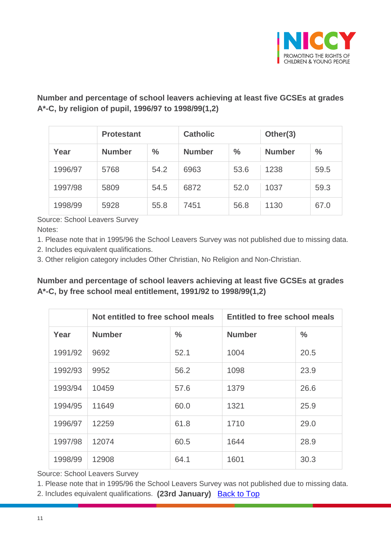

## **Number and percentage of school leavers achieving at least five GCSEs at grades A\*-C, by religion of pupil, 1996/97 to 1998/99(1,2)**

|         | <b>Protestant</b> |               | <b>Catholic</b> |               | Other(3)      |               |  |
|---------|-------------------|---------------|-----------------|---------------|---------------|---------------|--|
| Year    | <b>Number</b>     | $\frac{0}{0}$ | <b>Number</b>   | $\frac{0}{0}$ | <b>Number</b> | $\frac{0}{0}$ |  |
| 1996/97 | 5768              | 54.2          | 6963            | 53.6          | 1238          | 59.5          |  |
| 1997/98 | 5809              | 54.5          | 6872            | 52.0          | 1037          | 59.3          |  |
| 1998/99 | 5928              | 55.8          | 7451            | 56.8          | 1130          | 67.0          |  |

Source: School Leavers Survey Notes:

1. Please note that in 1995/96 the School Leavers Survey was not published due to missing data.

2. Includes equivalent qualifications.

3. Other religion category includes Other Christian, No Religion and Non-Christian.

## **Number and percentage of school leavers achieving at least five GCSEs at grades A\*-C, by free school meal entitlement, 1991/92 to 1998/99(1,2)**

|         | Not entitled to free school meals |               | <b>Entitled to free school meals</b> |               |  |
|---------|-----------------------------------|---------------|--------------------------------------|---------------|--|
| Year    | <b>Number</b>                     | $\frac{0}{0}$ | <b>Number</b>                        | $\frac{0}{0}$ |  |
| 1991/92 | 9692                              | 52.1          | 1004                                 | 20.5          |  |
| 1992/93 | 9952                              | 56.2          | 1098                                 | 23.9          |  |
| 1993/94 | 10459                             | 57.6          | 1379                                 | 26.6          |  |
| 1994/95 | 11649                             | 60.0          | 1321                                 | 25.9          |  |
| 1996/97 | 12259                             | 61.8          | 1710                                 | 29.0          |  |
| 1997/98 | 12074                             | 60.5          | 1644                                 | 28.9          |  |
| 1998/99 | 12908                             | 64.1          | 1601                                 | 30.3          |  |

Source: School Leavers Survey

1. Please note that in 1995/96 the School Leavers Survey was not published due to missing data.

2. Includes equivalent qualifications. **(23rd January)** [Back to Top](#page-0-0)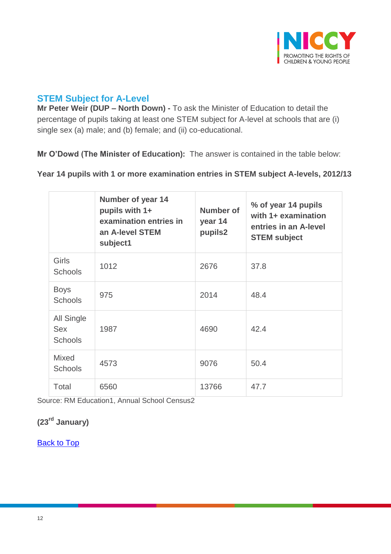

# <span id="page-11-0"></span>**STEM Subject for A-Level**

**Mr Peter Weir (DUP – North Down) -** To ask the Minister of Education to detail the percentage of pupils taking at least one STEM subject for A-level at schools that are (i) single sex (a) male; and (b) female; and (ii) co-educational.

**Mr O'Dowd (The Minister of Education):** The answer is contained in the table below:

**Year 14 pupils with 1 or more examination entries in STEM subject A-levels, 2012/13**

|                                            | <b>Number of year 14</b><br>pupils with 1+<br>examination entries in<br>an A-level STEM<br>subject1 | Number of<br>year 14<br>pupils2 | % of year 14 pupils<br>with 1+ examination<br>entries in an A-level<br><b>STEM subject</b> |
|--------------------------------------------|-----------------------------------------------------------------------------------------------------|---------------------------------|--------------------------------------------------------------------------------------------|
| <b>Girls</b><br><b>Schools</b>             | 1012                                                                                                | 2676                            | 37.8                                                                                       |
| <b>Boys</b><br><b>Schools</b>              | 975                                                                                                 | 2014                            | 48.4                                                                                       |
| All Single<br><b>Sex</b><br><b>Schools</b> | 1987                                                                                                | 4690                            | 42.4                                                                                       |
| <b>Mixed</b><br><b>Schools</b>             | 4573                                                                                                | 9076                            | 50.4                                                                                       |
| Total                                      | 6560                                                                                                | 13766                           | 47.7                                                                                       |

Source: RM Education1, Annual School Census2

# **(23rd January)**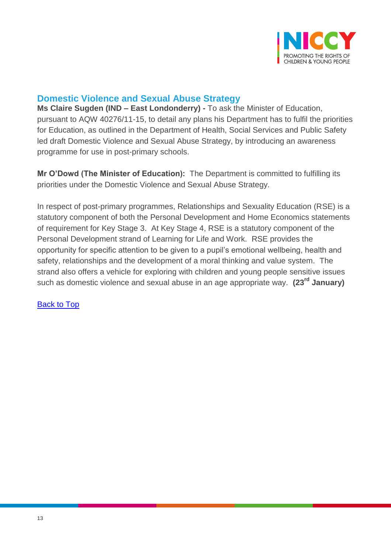

## <span id="page-12-0"></span>**Domestic Violence and Sexual Abuse Strategy**

**Ms Claire Sugden (IND – East Londonderry) -** To ask the Minister of Education, pursuant to AQW 40276/11-15, to detail any plans his Department has to fulfil the priorities for Education, as outlined in the Department of Health, Social Services and Public Safety led draft Domestic Violence and Sexual Abuse Strategy, by introducing an awareness programme for use in post-primary schools.

**Mr O'Dowd (The Minister of Education):** The Department is committed to fulfilling its priorities under the Domestic Violence and Sexual Abuse Strategy.

In respect of post-primary programmes, Relationships and Sexuality Education (RSE) is a statutory component of both the Personal Development and Home Economics statements of requirement for Key Stage 3. At Key Stage 4, RSE is a statutory component of the Personal Development strand of Learning for Life and Work. RSE provides the opportunity for specific attention to be given to a pupil's emotional wellbeing, health and safety, relationships and the development of a moral thinking and value system. The strand also offers a vehicle for exploring with children and young people sensitive issues such as domestic violence and sexual abuse in an age appropriate way. **(23rd January)**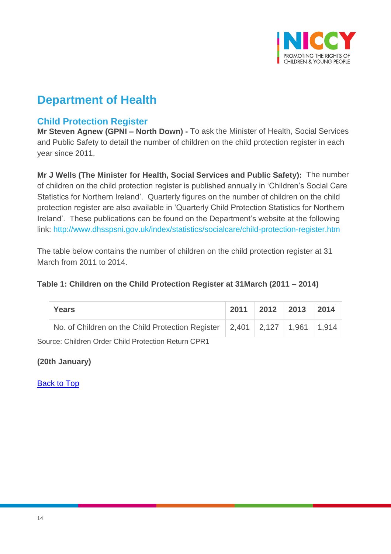

# **Department of Health**

# <span id="page-13-0"></span>**Child Protection Register**

**Mr Steven Agnew (GPNI – North Down) -** To ask the Minister of Health, Social Services and Public Safety to detail the number of children on the child protection register in each year since 2011.

**Mr J Wells (The Minister for Health, Social Services and Public Safety):** The number of children on the child protection register is published annually in 'Children's Social Care Statistics for Northern Ireland'. Quarterly figures on the number of children on the child protection register are also available in 'Quarterly Child Protection Statistics for Northern Ireland'. These publications can be found on the Department's website at the following link: <http://www.dhsspsni.gov.uk/index/statistics/socialcare/child-protection-register.htm>

The table below contains the number of children on the child protection register at 31 March from 2011 to 2014.

### **Table 1: Children on the Child Protection Register at 31March (2011 – 2014)**

| <b>Years</b>                                                                                       | 2011 | $\vert$ 2012 $\vert$ 2013 | 2014 |
|----------------------------------------------------------------------------------------------------|------|---------------------------|------|
| No. of Children on the Child Protection Register $\vert 2,401 \vert 2,127 \vert 1,961 \vert 1,914$ |      |                           |      |
| Source: Children Order Child Protection Return CPR1                                                |      |                           |      |

**(20th January)**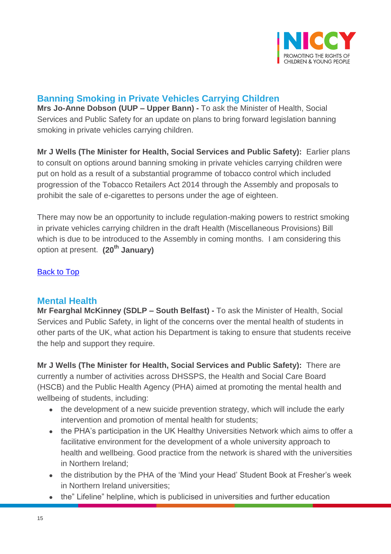

# <span id="page-14-0"></span>**Banning Smoking in Private Vehicles Carrying Children**

**Mrs Jo-Anne Dobson (UUP – Upper Bann) -** To ask the Minister of Health, Social Services and Public Safety for an update on plans to bring forward legislation banning smoking in private vehicles carrying children.

**Mr J Wells (The Minister for Health, Social Services and Public Safety):** Earlier plans to consult on options around banning smoking in private vehicles carrying children were put on hold as a result of a substantial programme of tobacco control which included progression of the Tobacco Retailers Act 2014 through the Assembly and proposals to prohibit the sale of e-cigarettes to persons under the age of eighteen.

There may now be an opportunity to include regulation-making powers to restrict smoking in private vehicles carrying children in the draft Health (Miscellaneous Provisions) Bill which is due to be introduced to the Assembly in coming months. I am considering this option at present. **(20th January)**

### [Back to Top](#page-0-0)

## <span id="page-14-1"></span>**Mental Health**

**Mr Fearghal McKinney (SDLP – South Belfast) -** To ask the Minister of Health, Social Services and Public Safety, in light of the concerns over the mental health of students in other parts of the UK, what action his Department is taking to ensure that students receive the help and support they require.

**Mr J Wells (The Minister for Health, Social Services and Public Safety):** There are currently a number of activities across DHSSPS, the Health and Social Care Board (HSCB) and the Public Health Agency (PHA) aimed at promoting the mental health and wellbeing of students, including:

- the development of a new suicide prevention strategy, which will include the early intervention and promotion of mental health for students;
- the PHA's participation in the UK Healthy Universities Network which aims to offer a facilitative environment for the development of a whole university approach to health and wellbeing. Good practice from the network is shared with the universities in Northern Ireland;
- the distribution by the PHA of the 'Mind your Head' Student Book at Fresher's week in Northern Ireland universities;
- the" Lifeline" helpline, which is publicised in universities and further education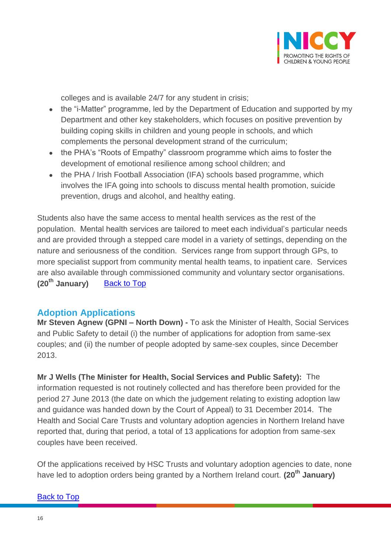

colleges and is available 24/7 for any student in crisis;

- the "i-Matter" programme, led by the Department of Education and supported by my Department and other key stakeholders, which focuses on positive prevention by building coping skills in children and young people in schools, and which complements the personal development strand of the curriculum;
- the PHA's "Roots of Empathy" classroom programme which aims to foster the development of emotional resilience among school children; and
- the PHA / Irish Football Association (IFA) schools based programme, which involves the IFA going into schools to discuss mental health promotion, suicide prevention, drugs and alcohol, and healthy eating.

Students also have the same access to mental health services as the rest of the population. Mental health services are tailored to meet each individual's particular needs and are provided through a stepped care model in a variety of settings, depending on the nature and seriousness of the condition. Services range from support through GPs, to more specialist support from community mental health teams, to inpatient care. Services are also available through commissioned community and voluntary sector organisations. **(20th January)** [Back to Top](#page-0-0)

## <span id="page-15-0"></span>**Adoption Applications**

**Mr Steven Agnew (GPNI – North Down) -** To ask the Minister of Health, Social Services and Public Safety to detail (i) the number of applications for adoption from same-sex couples; and (ii) the number of people adopted by same-sex couples, since December 2013.

**Mr J Wells (The Minister for Health, Social Services and Public Safety):** The information requested is not routinely collected and has therefore been provided for the period 27 June 2013 (the date on which the judgement relating to existing adoption law and guidance was handed down by the Court of Appeal) to 31 December 2014. The Health and Social Care Trusts and voluntary adoption agencies in Northern Ireland have reported that, during that period, a total of 13 applications for adoption from same-sex couples have been received.

Of the applications received by HSC Trusts and voluntary adoption agencies to date, none have led to adoption orders being granted by a Northern Ireland court. **(20th January)**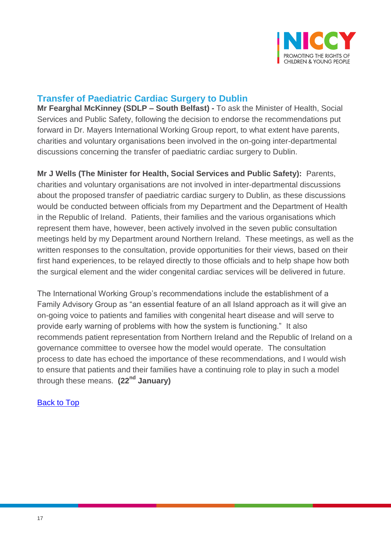

# <span id="page-16-0"></span>**Transfer of Paediatric Cardiac Surgery to Dublin**

**Mr Fearghal McKinney (SDLP – South Belfast) -** To ask the Minister of Health, Social Services and Public Safety, following the decision to endorse the recommendations put forward in Dr. Mayers International Working Group report, to what extent have parents, charities and voluntary organisations been involved in the on-going inter-departmental discussions concerning the transfer of paediatric cardiac surgery to Dublin.

**Mr J Wells (The Minister for Health, Social Services and Public Safety):** Parents, charities and voluntary organisations are not involved in inter-departmental discussions about the proposed transfer of paediatric cardiac surgery to Dublin, as these discussions would be conducted between officials from my Department and the Department of Health in the Republic of Ireland. Patients, their families and the various organisations which represent them have, however, been actively involved in the seven public consultation meetings held by my Department around Northern Ireland. These meetings, as well as the written responses to the consultation, provide opportunities for their views, based on their first hand experiences, to be relayed directly to those officials and to help shape how both the surgical element and the wider congenital cardiac services will be delivered in future.

The International Working Group's recommendations include the establishment of a Family Advisory Group as "an essential feature of an all Island approach as it will give an on-going voice to patients and families with congenital heart disease and will serve to provide early warning of problems with how the system is functioning." It also recommends patient representation from Northern Ireland and the Republic of Ireland on a governance committee to oversee how the model would operate. The consultation process to date has echoed the importance of these recommendations, and I would wish to ensure that patients and their families have a continuing role to play in such a model through these means. **(22nd January)**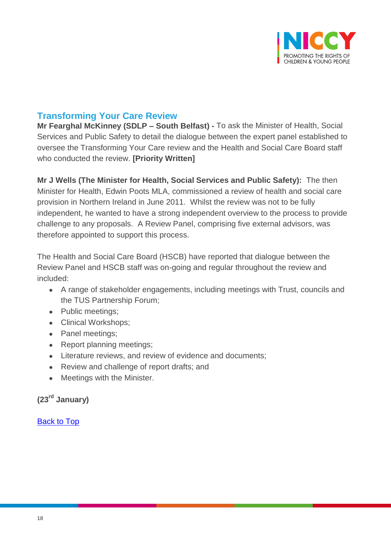

## <span id="page-17-0"></span>**Transforming Your Care Review**

**Mr Fearghal McKinney (SDLP – South Belfast) -** To ask the Minister of Health, Social Services and Public Safety to detail the dialogue between the expert panel established to oversee the Transforming Your Care review and the Health and Social Care Board staff who conducted the review. **[Priority Written]**

**Mr J Wells (The Minister for Health, Social Services and Public Safety):** The then Minister for Health, Edwin Poots MLA, commissioned a review of health and social care provision in Northern Ireland in June 2011. Whilst the review was not to be fully independent, he wanted to have a strong independent overview to the process to provide challenge to any proposals. A Review Panel, comprising five external advisors, was therefore appointed to support this process.

The Health and Social Care Board (HSCB) have reported that dialogue between the Review Panel and HSCB staff was on-going and regular throughout the review and included:

- A range of stakeholder engagements, including meetings with Trust, councils and the TUS Partnership Forum;
- Public meetings;
- Clinical Workshops:
- Panel meetings;
- Report planning meetings;
- Literature reviews, and review of evidence and documents;
- Review and challenge of report drafts; and
- Meetings with the Minister.

# **(23rd January)**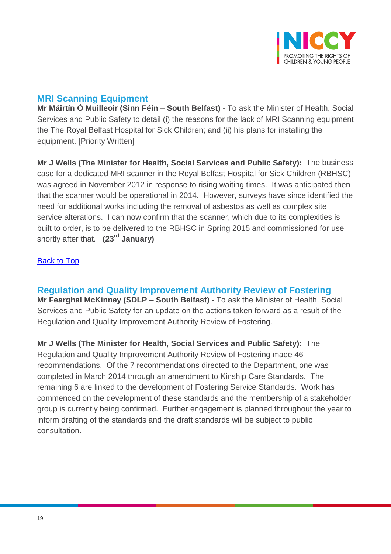

## <span id="page-18-0"></span>**MRI Scanning Equipment**

**Mr Máirtín Ó Muilleoir (Sinn Féin – South Belfast) -** To ask the Minister of Health, Social Services and Public Safety to detail (i) the reasons for the lack of MRI Scanning equipment the The Royal Belfast Hospital for Sick Children; and (ii) his plans for installing the equipment. [Priority Written]

**Mr J Wells (The Minister for Health, Social Services and Public Safety):** The business case for a dedicated MRI scanner in the Royal Belfast Hospital for Sick Children (RBHSC) was agreed in November 2012 in response to rising waiting times. It was anticipated then that the scanner would be operational in 2014. However, surveys have since identified the need for additional works including the removal of asbestos as well as complex site service alterations. I can now confirm that the scanner, which due to its complexities is built to order, is to be delivered to the RBHSC in Spring 2015 and commissioned for use shortly after that. **(23rd January)**

### [Back to Top](#page-0-0)

<span id="page-18-1"></span>**Regulation and Quality Improvement Authority Review of Fostering Mr Fearghal McKinney (SDLP – South Belfast) -** To ask the Minister of Health, Social Services and Public Safety for an update on the actions taken forward as a result of the Regulation and Quality Improvement Authority Review of Fostering.

**Mr J Wells (The Minister for Health, Social Services and Public Safety):** The Regulation and Quality Improvement Authority Review of Fostering made 46 recommendations. Of the 7 recommendations directed to the Department, one was completed in March 2014 through an amendment to Kinship Care Standards. The remaining 6 are linked to the development of Fostering Service Standards. Work has commenced on the development of these standards and the membership of a stakeholder group is currently being confirmed. Further engagement is planned throughout the year to inform drafting of the standards and the draft standards will be subject to public consultation.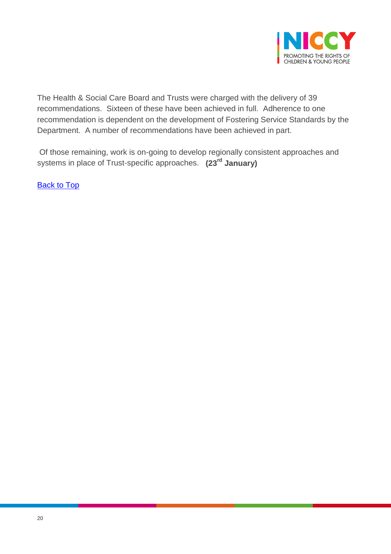

The Health & Social Care Board and Trusts were charged with the delivery of 39 recommendations. Sixteen of these have been achieved in full. Adherence to one recommendation is dependent on the development of Fostering Service Standards by the Department. A number of recommendations have been achieved in part.

Of those remaining, work is on-going to develop regionally consistent approaches and systems in place of Trust-specific approaches. **(23rd January)**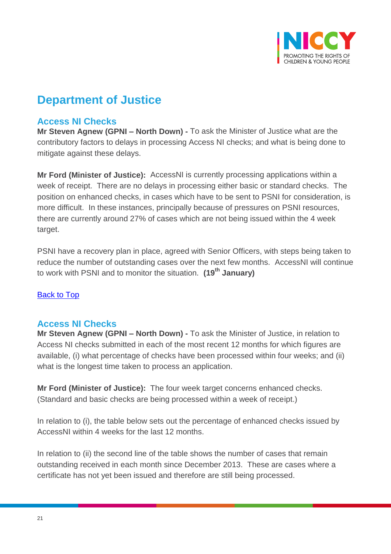

# **Department of Justice**

## <span id="page-20-0"></span>**Access NI Checks**

**Mr Steven Agnew (GPNI – North Down) -** To ask the Minister of Justice what are the contributory factors to delays in processing Access NI checks; and what is being done to mitigate against these delays.

**Mr Ford (Minister of Justice):** AccessNI is currently processing applications within a week of receipt. There are no delays in processing either basic or standard checks. The position on enhanced checks, in cases which have to be sent to PSNI for consideration, is more difficult. In these instances, principally because of pressures on PSNI resources, there are currently around 27% of cases which are not being issued within the 4 week target.

PSNI have a recovery plan in place, agreed with Senior Officers, with steps being taken to reduce the number of outstanding cases over the next few months. AccessNI will continue to work with PSNI and to monitor the situation. **(19th January)**

### [Back to Top](#page-0-0)

## <span id="page-20-1"></span>**Access NI Checks**

**Mr Steven Agnew (GPNI – North Down) -** To ask the Minister of Justice, in relation to Access NI checks submitted in each of the most recent 12 months for which figures are available, (i) what percentage of checks have been processed within four weeks; and (ii) what is the longest time taken to process an application.

**Mr Ford (Minister of Justice):** The four week target concerns enhanced checks. (Standard and basic checks are being processed within a week of receipt.)

In relation to (i), the table below sets out the percentage of enhanced checks issued by AccessNI within 4 weeks for the last 12 months.

In relation to (ii) the second line of the table shows the number of cases that remain outstanding received in each month since December 2013. These are cases where a certificate has not yet been issued and therefore are still being processed.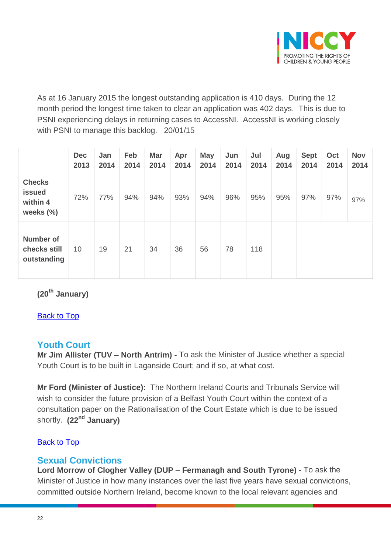

As at 16 January 2015 the longest outstanding application is 410 days. During the 12 month period the longest time taken to clear an application was 402 days. This is due to PSNI experiencing delays in returning cases to AccessNI. AccessNI is working closely with PSNI to manage this backlog. 20/01/15

|                                                            | <b>Dec</b><br>2013 | Jan<br>2014 | Feb<br>2014 | <b>Mar</b><br>2014 | Apr<br>2014 | <b>May</b><br>2014 | Jun<br>2014 | Jul<br>2014 | Aug<br>2014 | <b>Sept</b><br>2014 | Oct<br>2014 | <b>Nov</b><br>2014 |
|------------------------------------------------------------|--------------------|-------------|-------------|--------------------|-------------|--------------------|-------------|-------------|-------------|---------------------|-------------|--------------------|
| <b>Checks</b><br><b>issued</b><br>within 4<br>weeks $(\%)$ | 72%                | 77%         | 94%         | 94%                | 93%         | 94%                | 96%         | 95%         | 95%         | 97%                 | 97%         | 97%                |
| <b>Number of</b><br>checks still<br>outstanding            | 10                 | 19          | 21          | 34                 | 36          | 56                 | 78          | 118         |             |                     |             |                    |

**(20th January)**

[Back to Top](#page-0-0)

# <span id="page-21-0"></span>**Youth Court**

**Mr Jim Allister (TUV – North Antrim) -** To ask the Minister of Justice whether a special Youth Court is to be built in Laganside Court; and if so, at what cost.

**Mr Ford (Minister of Justice):** The Northern Ireland Courts and Tribunals Service will wish to consider the future provision of a Belfast Youth Court within the context of a consultation paper on the Rationalisation of the Court Estate which is due to be issued shortly. **(22nd January)**

### [Back to Top](#page-0-0)

## <span id="page-21-1"></span>**Sexual Convictions**

**Lord Morrow of Clogher Valley (DUP – Fermanagh and South Tyrone) -** To ask the Minister of Justice in how many instances over the last five years have sexual convictions, committed outside Northern Ireland, become known to the local relevant agencies and